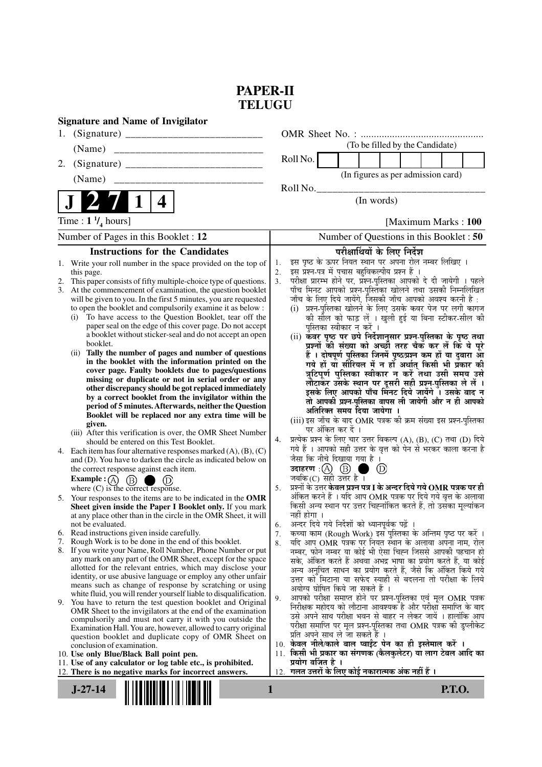## **PAPER-II TELUGU**

|    | <b>Signature and Name of Invigilator</b>                                                                                          |     |                                                                                                                                |                                          |                                    |                      |               |  |
|----|-----------------------------------------------------------------------------------------------------------------------------------|-----|--------------------------------------------------------------------------------------------------------------------------------|------------------------------------------|------------------------------------|----------------------|---------------|--|
| 1. |                                                                                                                                   |     |                                                                                                                                |                                          |                                    |                      |               |  |
|    | (Name)                                                                                                                            |     |                                                                                                                                |                                          | (To be filled by the Candidate)    |                      |               |  |
| 2. |                                                                                                                                   |     | Roll No.                                                                                                                       |                                          |                                    |                      |               |  |
|    | (Name)                                                                                                                            |     |                                                                                                                                |                                          | (In figures as per admission card) |                      |               |  |
|    |                                                                                                                                   |     | Roll No.                                                                                                                       |                                          |                                    |                      |               |  |
|    | 4                                                                                                                                 |     |                                                                                                                                |                                          | (In words)                         |                      |               |  |
|    | Time : $1 \frac{1}{4}$ hours]                                                                                                     |     |                                                                                                                                |                                          |                                    | [Maximum Marks: 100] |               |  |
|    | Number of Pages in this Booklet : 12                                                                                              |     |                                                                                                                                | Number of Questions in this Booklet : 50 |                                    |                      |               |  |
|    | <b>Instructions for the Candidates</b>                                                                                            |     |                                                                                                                                | परीक्षार्थियों के लिए निर्देश            |                                    |                      |               |  |
|    | 1. Write your roll number in the space provided on the top of                                                                     | 1.  | इस पृष्ठ के ऊपर नियत स्थान पर अपना रोल नम्बर लिखिए ।                                                                           |                                          |                                    |                      |               |  |
|    | this page.                                                                                                                        | 2.  | इस प्रश्न-पत्र में पचास बहुविकल्पीय प्रश्न हैं ।                                                                               |                                          |                                    |                      |               |  |
|    | 2. This paper consists of fifty multiple-choice type of questions.<br>3. At the commencement of examination, the question booklet | 3.  | परीक्षा प्रारम्भ होने पर, प्रश्न-पुस्तिका आपको दे दी जायेगी । पहले<br>पाँच मिनट आपको प्रश्न-पुस्तिका खोलने तथा उसकी निम्नलिखित |                                          |                                    |                      |               |  |
|    | will be given to you. In the first 5 minutes, you are requested                                                                   |     | जाँच के लिए दिये जायेंगे, जिसकी जाँच आपको अवश्य करनी है :                                                                      |                                          |                                    |                      |               |  |
|    | to open the booklet and compulsorily examine it as below :                                                                        |     | (i) प्रश्न-पुस्तिका खोलने के लिए उसके कवर पेज पर लगी कागज                                                                      |                                          |                                    |                      |               |  |
|    | To have access to the Question Booklet, tear off the<br>(i)<br>paper seal on the edge of this cover page. Do not accept           |     | की सील को फाड़ लें । खुली हुई या बिना स्टीकर-सील की                                                                            |                                          |                                    |                      |               |  |
|    | a booklet without sticker-seal and do not accept an open                                                                          |     | पुस्तिका स्वीकार न करें ।<br>(ii) कवर पृष्ठ पर छपे निर्देशानुसार प्रश्न-पुस्तिका के पृष्ठ तथा                                  |                                          |                                    |                      |               |  |
|    | booklet.                                                                                                                          |     | प्रश्नों की संख्या को अच्छी तरह चैक कर लें कि ये पूरे                                                                          |                                          |                                    |                      |               |  |
|    | Tally the number of pages and number of questions<br>(i)<br>in the booklet with the information printed on the                    |     | हैं । दोषपूर्ण पुस्तिका जिनमें पृष्ठ/प्रश्न कम हों या दुबारा आ                                                                 |                                          |                                    |                      |               |  |
|    | cover page. Faulty booklets due to pages/questions                                                                                |     | गये हों यो सीरियल में न हों अर्थात् किसी भी प्रकार की<br>त्रुटिपूर्ण पुस्तिका स्वीकार न करें तथा उसी समय उसे                   |                                          |                                    |                      |               |  |
|    | missing or duplicate or not in serial order or any                                                                                |     | लौटाकर उसके स्थान पर दूसरी सही प्रश्न-पुस्तिका ले लें ।                                                                        |                                          |                                    |                      |               |  |
|    | other discrepancy should be got replaced immediately                                                                              |     | इसके लिए आपको पाँच मिनट दिये जायेंगे ँ। उसके बाद न                                                                             |                                          |                                    |                      |               |  |
|    | by a correct booklet from the invigilator within the<br>period of 5 minutes. Afterwards, neither the Question                     |     | तो आपकी प्रश्न-पुस्तिका वापस ली जायेगी और न ही आपको                                                                            |                                          |                                    |                      |               |  |
|    | Booklet will be replaced nor any extra time will be                                                                               |     | अतिरिक्त समय दिया जायेगा ।<br>(iii) इस जाँच के बाद OMR पत्रक की क्रम संख्या इस प्रश्न-पुस्तिका                                 |                                          |                                    |                      |               |  |
|    | given.                                                                                                                            |     | पर अंकित कर दें ।                                                                                                              |                                          |                                    |                      |               |  |
|    | (iii) After this verification is over, the OMR Sheet Number<br>should be entered on this Test Booklet.                            | 4.  | प्रत्येक प्रश्न के लिए चार उत्तर विकल्प (A), (B), (C) तथा (D) दिये                                                             |                                          |                                    |                      |               |  |
| 4. | Each item has four alternative responses marked $(A)$ , $(B)$ , $(C)$                                                             |     | गये हैं । आपको सही उत्तर के वृत्त को पेन से भरकर काला करना है                                                                  |                                          |                                    |                      |               |  |
|    | and (D). You have to darken the circle as indicated below on                                                                      |     | जैसा कि नीचे दिखाया गया है ।                                                                                                   |                                          |                                    |                      |               |  |
|    | the correct response against each item.                                                                                           |     | जबकि $(C)$ सही उत्तर है।                                                                                                       | n a                                      | $\circledcirc$                     |                      |               |  |
|    | <b>Example:</b> (A) $(B)$<br>$\Box$ (D)<br>where $(C)$ is the correct response.                                                   | 5.  | प्रश्नों के उत्तर केवल प्रश्न पत्र I के अन्दर दिये गये OMR पत्रक पर ही                                                         |                                          |                                    |                      |               |  |
|    | 5. Your responses to the items are to be indicated in the OMR                                                                     |     | अंकित करने हैं । यदि आप OMR पत्रक पर दिये गये वृत्त के अलावा                                                                   |                                          |                                    |                      |               |  |
|    | Sheet given inside the Paper I Booklet only. If you mark                                                                          |     | किसी अन्य स्थान पर उत्तर चिह्नांकित करते हैं, तो उसका मूल्यांकन<br>नहीं होगा ।                                                 |                                          |                                    |                      |               |  |
|    | at any place other than in the circle in the OMR Sheet, it will<br>not be evaluated.                                              | 6.  | अन्दर दिये गये निर्देशों को ध्यानपूर्वक पढ़ें ।                                                                                |                                          |                                    |                      |               |  |
| 6. | Read instructions given inside carefully.                                                                                         | 7.  | कच्चा काम (Rough Work) इस पुस्तिका के अन्तिम पृष्ठ पर करें ।                                                                   |                                          |                                    |                      |               |  |
| 7. | Rough Work is to be done in the end of this booklet.                                                                              | 8.  | यदि आप OMR पत्रक पर नियत स्थान के अलावा अपना नाम, रोल                                                                          |                                          |                                    |                      |               |  |
|    | 8. If you write your Name, Roll Number, Phone Number or put<br>any mark on any part of the OMR Sheet, except for the space        |     | नम्बर, फोन नम्बर या कोई भी ऐसा चिह्न जिससे आपकी पहचान हो<br>सके, अंकित करते हैं अथवा अभद्र भाषा का प्रयोग करते हैं, या कोई     |                                          |                                    |                      |               |  |
|    | allotted for the relevant entries, which may disclose your                                                                        |     | अन्य अनुचित साधन का प्रयोग करते हैं, जैसे कि अंकित किये गये                                                                    |                                          |                                    |                      |               |  |
|    | identity, or use abusive language or employ any other unfair                                                                      |     | उत्तर को मिटाना या सफेद स्याही से बदलना तो परीक्षा के लिये                                                                     |                                          |                                    |                      |               |  |
|    | means such as change of response by scratching or using<br>white fluid, you will render yourself liable to disqualification.      |     | अयोग्य घोषित किये जा सकते हैं ।                                                                                                |                                          |                                    |                      |               |  |
|    | 9. You have to return the test question booklet and Original                                                                      | 9.  | आपको परीक्षा समाप्त होने पर प्रश्न-पुस्तिका एवं मूल OMR पत्रक<br>निरीक्षक महोदय को लौटाना आवश्यक है और परीक्षा समाप्ति के बाद  |                                          |                                    |                      |               |  |
|    | OMR Sheet to the invigilators at the end of the examination<br>compulsorily and must not carry it with you outside the            |     | उसे अपने साथ परीक्षा भवन से बाहर न लेकर जायें । हालांकि आप                                                                     |                                          |                                    |                      |               |  |
|    | Examination Hall. You are, however, allowed to carry original                                                                     |     | परीक्षा समाप्ति पर मूल प्रश्न-पुस्तिका तथा OMR पत्रक की डुप्लीकेट                                                              |                                          |                                    |                      |               |  |
|    | question booklet and duplicate copy of OMR Sheet on                                                                               |     | प्रति अपने साथ ले जा सकते हैं ।<br>10. केवल नीले/काले बाल प्वाईट पेन का ही इस्तेमाल करें ।                                     |                                          |                                    |                      |               |  |
|    | conclusion of examination.<br>10. Use only Blue/Black Ball point pen.                                                             | 11. | किसी भी प्रकार का संगणक (कैलकुलेटर) या लाग टेबल आदि का                                                                         |                                          |                                    |                      |               |  |
|    | 11. Use of any calculator or log table etc., is prohibited.                                                                       |     | प्रयोग वर्जित है ।                                                                                                             |                                          |                                    |                      |               |  |
|    | 12. There is no negative marks for incorrect answers.                                                                             | 12. | गलत उत्तरों के लिए कोई नकारात्मक अंक नहीं हैं ।                                                                                |                                          |                                    |                      |               |  |
|    | $J-27-14$<br>1                                                                                                                    |     |                                                                                                                                |                                          |                                    |                      | <b>P.T.O.</b> |  |
|    |                                                                                                                                   |     |                                                                                                                                |                                          |                                    |                      |               |  |
|    |                                                                                                                                   |     |                                                                                                                                |                                          |                                    |                      |               |  |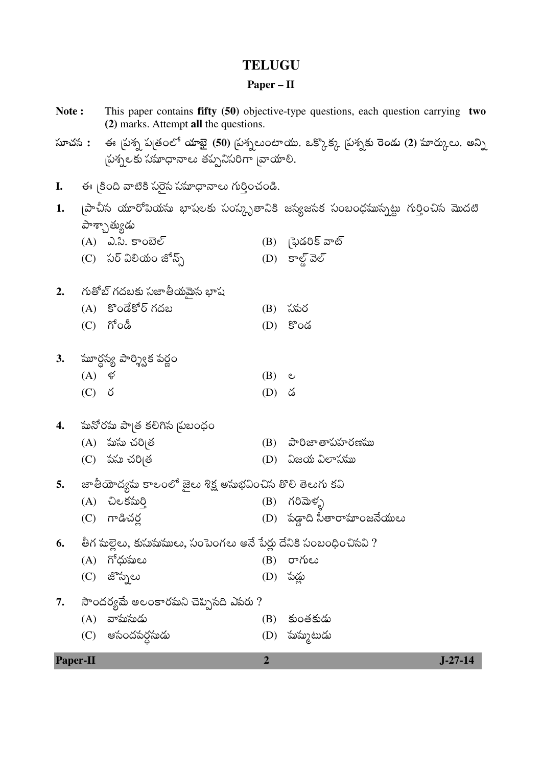## **TELUGU**

## Paper –  $II$

| Note:           |                                      | (2) marks. Attempt all the questions.                             |                | This paper contains fifty $(50)$ objective-type questions, each question carrying two               |
|-----------------|--------------------------------------|-------------------------------------------------------------------|----------------|-----------------------------------------------------------------------------------------------------|
|                 |                                      | చ్రశ్నలకు సమాధానాలు తప్పనిసరిగా బాయాలి.                           |                | సూచస :     ఈ స్రైస్న ప్రతంలో యాభై (50) స్రైస్నలుంటాయు. ఒక్కొక్క స్రైస్నకు రెండు (2) మార్కులు. అన్ని |
| I.              |                                      | ఈ క్రింది వాటికి సరైన సమాధానాలు గుర్తించండి.                      |                |                                                                                                     |
| 1.              |                                      | పాశ్చాత్యుడు                                                      |                | ్నపాచీస యూరోపియసు భాషలకు సంస్కృతానికి జస్యజసక సంబంధమున్నట్టు గుర్తించిస మొదటి                       |
|                 |                                      | $(A)$ $\lambda$ . $\lambda$ . కాంబెల్<br>(C) సర్ విలియం జోన్స్    |                | (B) న్రైడరిక్ వాట్<br>$(D)$ కాల్డ్ వెల్                                                             |
| 2.              |                                      | గుతోబ్ గదబకు సజాతీయమైన భాష                                        |                |                                                                                                     |
|                 | (C)                                  | (A) కొండేకోర్ గదబ<br>గోండీ                                        | (B)<br>(D)     | సపర<br>కొండ                                                                                         |
| 3.              |                                      | `మూర్గస్య పార్శ్విక పర్ణం                                         |                |                                                                                                     |
|                 | $(A)$ $\mathscr{\mathscr{G}}$<br>(C) | - ర                                                               | (B)<br>(D)     | ల<br>డ                                                                                              |
| 4.              |                                      | 'మనోర'మ పాౖత కలిగిన న్రబంధం                                       |                |                                                                                                     |
|                 |                                      | (A) పుసు చరి <sub> </sub> త<br>(C) పసు చరి <sub> </sub> త         | (B)<br>(D)     | పారిజా తాపహరణము<br>విజయ విలాసము                                                                     |
| 5.              |                                      | జాతియోద్యమ కాలంలో జైలు శిక్ష అసుభవించిన తొలి తెలుగు కవి           |                |                                                                                                     |
|                 | (C)                                  | (A) చిలకమర్తి<br>గాడిచర్ల                                         | (B)            | గరిమెళ్ళ<br>(D) పడ్డాది సీతారామా౦జనేయులు                                                            |
| 6.              |                                      | తీగ మల్లెలు, కుసుమములు, సంపెంగలు అనే పేర్లు దేనికి సంబంధించినవి ? |                |                                                                                                     |
|                 | (A)                                  | గోధుమలు                                                           | (B)            | రాగులు                                                                                              |
|                 | (C)                                  | జొన్నలు                                                           | (D)            | పడ్డు                                                                                               |
| 7.              |                                      | సౌందర్యమే అలంకారమని చెప్పిసది ఎవరు ?                              |                |                                                                                                     |
|                 | (A)                                  | వామసుడు                                                           | (B)            | కుంతకుడు                                                                                            |
|                 | (C)                                  | ఆసందపర్ధసుడు                                                      | (D)            | పుస్ముటుడు                                                                                          |
| <b>Paper-II</b> |                                      |                                                                   | $\overline{2}$ | $J - 27 - 14$                                                                                       |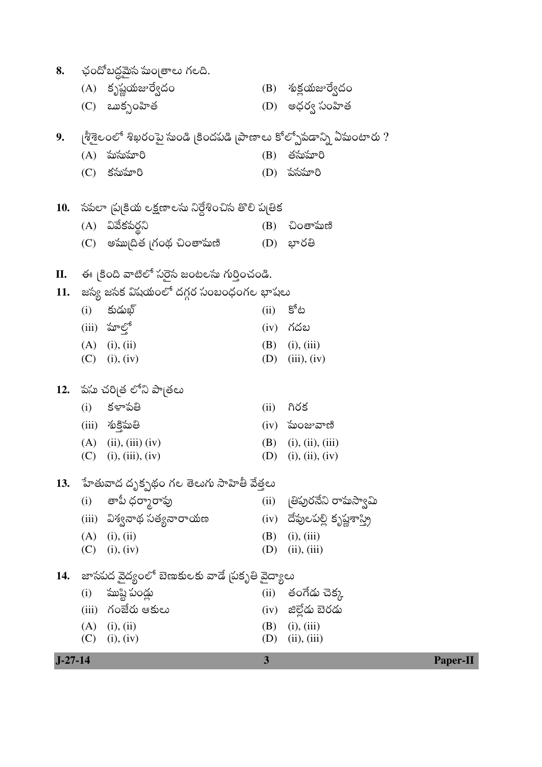| 8.        |     | ఛందోబద్ధమైన మంత్రాలు గలది.                                         |            |                                 |
|-----------|-----|--------------------------------------------------------------------|------------|---------------------------------|
|           |     | (A) కృష్ణయజుర్వేదం                                                 |            | (B) శుక్షయజుర్వేదం              |
|           |     | $(C)$ ఒుక్సంహిత                                                    |            | (D) అధర్వ సంహిత                 |
| 9.        |     | ్రశీశైలంలో శిఖరంపై సుండి [కిందపడి [పాణాలు కోల్పోవడాన్ని ఏసుంటారు ? |            |                                 |
|           | (A) | ఘస్తుపూరి                                                          | (B)        | తసుమారి                         |
|           | (C) | కసుమారి                                                            | (D)        | పసమారి                          |
| 10.       |     | సపలా  ప కియ లక్షణాలసు నిర్దేశించిస తొలి ప తిక                      |            |                                 |
|           |     | (A) వివేకపర్ధని                                                    | (B)        | చింతామణి                        |
|           |     |                                                                    |            |                                 |
| П.        |     | ఈ  కింది వాటిలో సరైన జంటలను గుర్తించండి.                           |            |                                 |
|           |     |                                                                    |            |                                 |
| 11.       |     | జస్య జసక విషయంలో దగ్గర సంబంధంగల భాషలు                              |            | కోట                             |
|           | (i) | కుడుఖ్                                                             | (ii)       |                                 |
|           |     | $(iii)$ మాలో                                                       | (iv)       | గదబ                             |
|           |     | $(A)$ (i), (ii)<br>$(C)$ (i), (iv)                                 | (B)<br>(D) | (i), (iii)<br>(iii), (iv)       |
| 12.       |     | పసు చరిౖత లోని పాౖతలు                                              |            |                                 |
|           | (i) | కళాపతి                                                             | (ii)       | గిరక                            |
|           |     | (iii) శుక్తిమతి                                                    |            | $(iv)$ మంజువాణి                 |
|           |     | $(A)$ (ii), (iii) (iv)                                             | (B)        | (i), (ii), (iii)                |
|           | (C) | (i), (iii), (iv)                                                   | (D)        | (i), (ii), (iv)                 |
| 13.       |     | ేవాతువాద దృక్పథం గల తెలుగు సాహితీ వేత్తలు                          |            |                                 |
|           |     | (i) - తాపీ ధర్మారావు                                               |            | (ii) ျမိဳဃ္ပံဝသလဲ တလား ေလွေ     |
|           |     | (iii)   విశ్వనాథ సత్యనారాయణ                                        |            | (iv) దేవులపల్లి కృష్ణశాస్త్రి   |
|           |     | $(A)$ (i), (ii)                                                    |            | $(B)$ (i), (iii)                |
|           |     | $(C)$ (i), (iv)                                                    | (D)        | (ii), (iii)                     |
| 14.       |     | జాసపద వైద్యంలో బెణుకులకు వాడే  పకృతి వైద్యాలు                      |            |                                 |
|           |     | $(i)$ ముష్టి పండ్లు                                                |            | (ii) తంగేడు చెక్క               |
|           |     | (iii) గంజేరు ఆకులు                                                 |            | (iv) జిల్లేడు బెరడు             |
|           | (C) | $(A)$ (i), (ii)<br>(i), (iv)                                       | (D)        | $(B)$ (i), (iii)<br>(ii), (iii) |
| $J-27-14$ |     |                                                                    | 3          | <b>Paper-II</b>                 |
|           |     |                                                                    |            |                                 |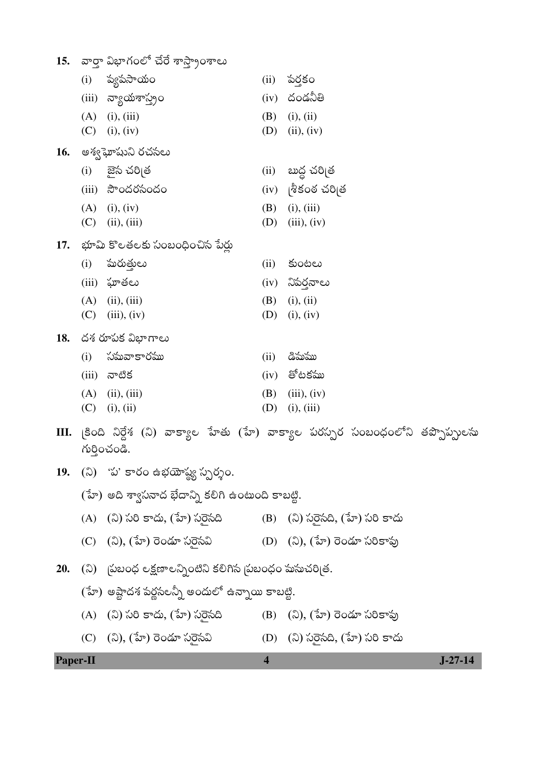|            | (i)   | ప్యపసాయం                                               | (ii) | పర్తకం                                                                       |
|------------|-------|--------------------------------------------------------|------|------------------------------------------------------------------------------|
|            | (iii) | న్యాయశాస్త్రం                                          | (iv) | దండనీతి                                                                      |
|            | (A)   | (i), (iii)                                             | (B)  | (i), (ii)                                                                    |
|            | (C)   | (i), (iv)                                              | (D)  | (ii), (iv)                                                                   |
| 16.        |       | అశ్వఘోషుని రచసలు                                       |      |                                                                              |
|            | (i)   | ్టైన చరి <sub> </sub> త                                | (ii) | బుద్ద చరి[త                                                                  |
|            | (iii) | సౌందరసందం                                              | (iv) | శీకంఠ చరి త                                                                  |
|            | (A)   | (i), (iv)                                              | (B)  | (i), (iii)                                                                   |
|            | (C)   | (ii), (iii)                                            | (D)  | (iii), (iv)                                                                  |
| 17.        |       | - భూమి కొలతలకు సంబంధించిన పేర్లు                       |      |                                                                              |
|            | (i)   | ఘరుత్తులు                                              | (ii) | కుంటలు                                                                       |
|            | (iii) | ఘాతలు                                                  | (iv) | నిపర్తనాలు                                                                   |
|            | (A)   | (ii), (iii)                                            | (B)  | (i), (ii)                                                                    |
|            | (C)   | (iii), (iv)                                            | (D)  | (i), (iv)                                                                    |
| 18.        |       | దశ రూపక విభాగాలు                                       |      |                                                                              |
|            | (i)   | సమవాకారము                                              | (ii) | డిమము                                                                        |
|            | (iii) | నాటిక                                                  | (iv) | తోటకము                                                                       |
|            | (A)   | (ii), (iii)                                            | (B)  | (iii), (iv)                                                                  |
|            | (C)   | (i), (ii)                                              | (D)  | (i), (iii)                                                                   |
| Ш.         |       | గుర్తించండి.                                           |      | [కింది నిర్దేశ (ని) వాక్యాల హేతు (హే) వాక్యాల పరస్పర సంబంధంలోని తప్పొప్పులసు |
| <b>19.</b> |       | (ని) 'ప' కారం ఉభయోష్య స్పర్శం.                         |      |                                                                              |
|            |       | (హే) అది శ్వాసనాద భేదాన్ని కలిగి ఉంటుంది కాబట్టి.      |      |                                                                              |
|            | (A)   | (ని) సరి కాదు, (హే) సరైసది                             |      | (B) (ని) సరైసది, (హే) సరి కాదు                                               |
|            |       | (C) (ని), (హే) రెండూ సరైసవి                            |      | (D) (ని), (హే) రెండూ సరికావు                                                 |
| 20.        |       | (ని) బ్రబంధ లక్షణాలన్నింటిని కలిగిన బ్రబంధం మసుచరిత్ర. |      |                                                                              |

 $(3\sigma)$  అష్టాదశ పర్ణసలన్నీ అందులో ఉన్నాయి కాబట్టి.

Paper-II

- (A) (ని) సరి కాదు, (హే) సరైసది (B)  $(3), (\overline{3})$  రెండూ సరికావు
- (C) (ని), (హే) రెండూ సరైసవి (D) (ని) సరైనది, (హే) సరి కాదు

 $\overline{\mathbf{4}}$ 

 $J-27-14$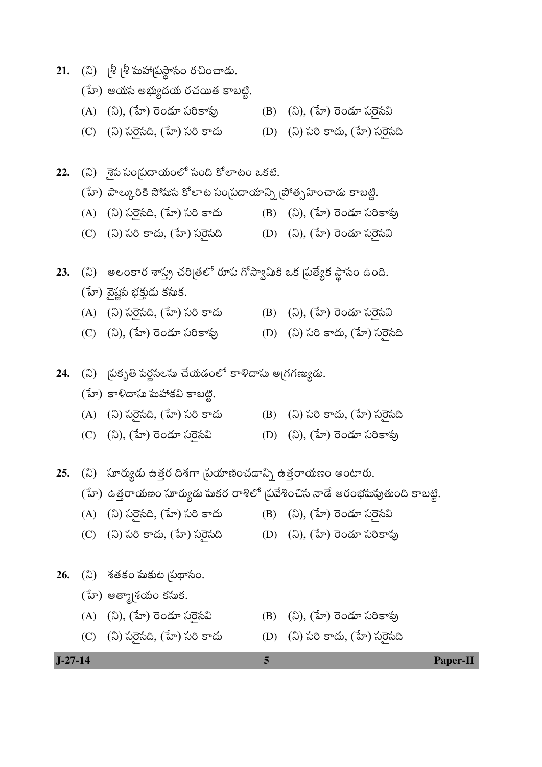|  |  |  |  | 21. (ని) ్రీ శ్రీ మహార్రుస్థాసం రచించాడు. |  |
|--|--|--|--|-------------------------------------------|--|
|--|--|--|--|-------------------------------------------|--|

- (హే) ఆయన అభ్యుదయ రచయిత కాబట్టి.
- (A) (ని), (హే) రెండూ సరికావు (B) (ని), (హే) రెండూ సరైసవి
- (C) (ని) సరైనది, (హే) సరి కాదు (D) (ని) సరి కాదు, (హే) సరైనది
- 22. (ని) శైప సంగ్రదాయంలో సంది కోలాటం ఒకటి.
	- (హే) పాల్కురికి సోమస కోలాట సంబ్రదాయాన్ని బోత్సహించాడు కాబట్టి.
	- (A) (ని) సరైసది, (హే) సరి కాదు (B) (ని), (హే) రెండూ సరికాపు
	- (C) (ని) సరి కాదు, (హే) సరైసది (D) (ని), (హే) రెండూ సరైసవి
- 23. (ని) అలంకార శాస్త్ర చరిత్రలో రూప గోస్వామికి ఒక 'పత్యేక స్థానం ఉంది.
	- (హే) వైష్ణప భక్తుడు కసుక.
	- (A) (ని) సరైనది, (హే) సరి కాదు (B) (ని), (హే) రెండూ సరైనవి
	- (C) (ని), (హే) రెండూ సరికావు (D) (ని) సరి కాదు, (హే) సరెసది
- 24. (ని) **(పకృతి పర్ణనలసు చేయడంలో కాళిదాసు అ**గగణ్యుడు.
	- (హే) కాళిదాసు మహాకవి కాబట్టి.
	- (A) (ని) సరైనది, (హే) సరి కాదు (B) (ని) సరి కాదు, (హే) సరైనది
	- (C) (ని), (హే) రెండూ సరైసవి (D) (ని), (హే) రెండూ సరికావు
- 25. (ని) సూర్యుడు ఉత్తర దిశగా స్థుయాణించడాన్ని ఉత్తరాయణం అంటారు.
	- (హే) ఉత్తరాయణం సూర్యుడు మకర రాశిలో (పవేశించిన నాడే ఆరంభమవుతుంది కాబట్టి.
	- (A) (ని) సరైనది, (హే) సరి కాదు (B) (ని), (హే) రెండూ సరైనవి
	- (C) (ని) సరి కాదు, (హే) సరెసది (D) (ని), (హే) రెండూ సరికాఫు
- **26.** (ని) శతకం మకుట స్థుథాసం.
	- (హే) ఆత్మా[శయం కసుక.
	- (A) (ని), (హే) రెండూ సరైసవి (B) (ని), (హే) రెండూ సరికావు
	- (C) (ని) సరైనది, (హే) సరి కాదు (D) (ని) సరి కాదు, (హే) సరైనది
- 
- 
- **J-27-14 5 Paper-II**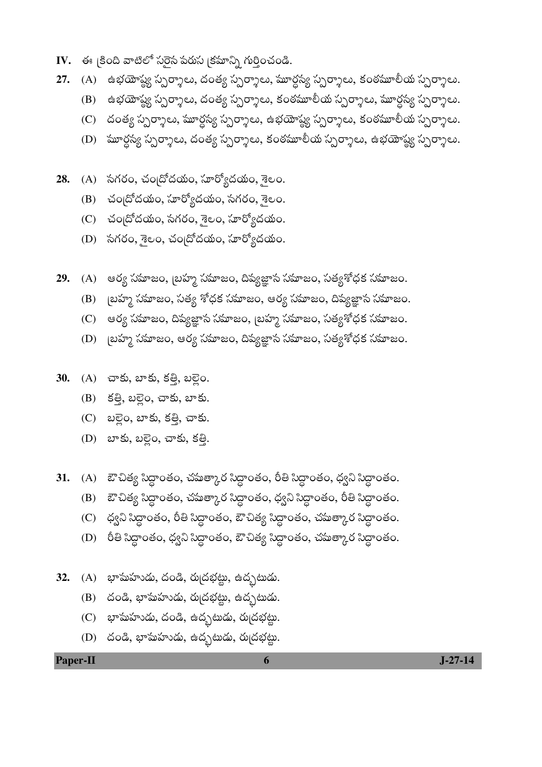- **IV.** —ఈ క్రింది వాటిలో సరైస పరుస క్రమాన్ని గుర్తించండి.
- **27.** (A) ఉభయోష్య స్పర్శాలు, దంత్య స్పర్శాలు, మూర్ధస్య స్పర్శాలు, కంఠమూలీయ స్పర్శాలు.
	- (B) ఉభయోష్య స్పర్శాలు, దంత్య స్పర్శాలు, కంఠమూలీయ స్పర్శాలు, మూర్దస్య స్పర్శాలు.
	- (C) దంత్య స్పర్శాలు, మూర్ధస్య స్పర్శాలు, ఉభయోష్య స్పర్శాలు, కంఠమూలీయ స్పర్శాలు.
	- (D) ేమూర్దస్య స్పర్శాలు, దంత్య స్పర్శాలు, కంఠమూలీయ స్పర్శాలు, ఉభయోష్య స్పర్శాలు.
- 28. (A) సగరం, చందోదయం, సూర్యోదయం, <sub>రై</sub>లం.
	- (B) చందోదయం, సూర్యోదయం, సగరం, శైలం.
	- (C) చందోదయం, సగరం, శైలం, హర్యోదయం.
	- (D) సగరం, శైలం, చందోదయం, సూర్యోదయం.
- **29.** (A) ఆర్య సమాజం, బ్రహ్మ సమాజం, దివ్యజ్ఞాన సమాజం, సత్యశోధక సమాజం.
	- (B) ô×Óþ±´ýýò ©Ó´ý¯´ýœÚÑþÕý, ©Ó´ýÆ·þó '¤¥Â¨·þØ·ý ©Ó´ý¯´ýœÚÑþÕý, ƒÕ·ýó ©Ó´ý¯´ýœÚÑþÕý, šþ¯´ýóÑæµ®´ý ©Ó´ý¯´ýœÚÑþÕý.
	- (C) ఆర్య సమాజం, దివ్యజ్ఞాస సమాజం, బ్రహ్మ సమాజం, సత్యశోధక సమాజం.
	- (D) ô×Óþ±´ýýò ©Ó´ý¯´ýœÚÑþÕý, ƒÕ·ýó ©Ó´ý¯´ýœÚÑþÕý, šþ¯´ýóÑæµ®´ý ©Ó´ý¯´ýœÚÑþÕý, ©Ó´ýÆ·þ󒤥¨·þØ·ý ©Ó´ý¯´ýœÚÑþÕý.
- 30. (A) చాకు, బాకు, కత్తి, బల్లెం.
	- (B) కత్తి, బల్లెం, చాకు, బాకు.
	- (C) బల్లెం, బాకు, కత్తి, చాకు.
	- (D) బాకు, బల్లైం, చాకు, కత్తి.
- **31.** (A) ఔచిత్య సిద్ధాంతం, చమత్కార సిద్ధాంతం, రీతి సిద్ధాంతం, ధ్వని సిద్ధాంతం.
	- (B) ఔ•చిత్య సిద్ధాంతం, చమత్కార సిద్ధాంతం, ధ్వని సిద్ధాంతం, రీతి సిద్ధాంతం.
	- (C) ధ్వని సిద్ధాంతం, రీతి సిద్ధాంతం, ఔ చిత్య సిద్ధాంతం, చమత్కార సిద్ధాంతం.
	- (D) రీతి సిద్ధాంతం, ధ్వని సిద్ధాంతం, ఔ చిత్య సిద్ధాంతం, చమత్కార సిద్ధాంతం.
- **32.** (A) భామహుడు, దండి, రుద్రభట్టు, ఉద్భటుడు.
	- $(B)$  óoడి, భామహుడు, రుద్రభట్టు, ఉద్భటుడు.
	- $(C)$  బాహుహుడు, దండి, ఉద్భటుడు, రుద్రభట్టు.
	- (D) రండి, భామహుడు, ఉద్భటుడు, రుద్రభట్టు.

**Paper-II 6 J-27-14**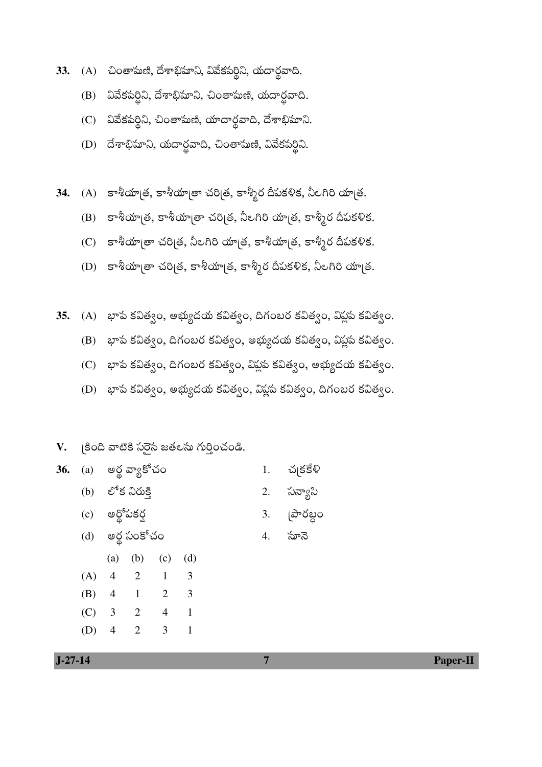- 33. (A) చింతామణి, దేశాభిమాని, వివేకపర్థిని, యదార్థవాది.
	- వివేకపర్థిని, దేశాభిమాని, చింతామణి, యదార్థవాది. (B)
	- (C) వివేకపర్థిని, చింతామణి, యాదార్థవాది, దేశాభిమాని.
	- (D) దేశాభిమాని, యదార్థవాది, చింతామణి, వివేకపర్థిని.
- 34. (A) కాశీయాత్ర, కాశీయాత్రా చరిత్ర, కాశ్మీర దీపకళిక, నీలగిరి యాత్ర.
	- (B) కాశీయా(త, కాశీయా(తా చరి(త, నీలగిరి యా(త, కాశ్మీర దీపకళిక.
	- (C) కాశీయా[తా చరి[త, నీలగిరి యా[త, కాశీయా[త, కాశ్మీర దీపకళిక.
	- (D) కాశీయా[తా చరి[త, కాశీయా[త, కాశ్మీర దీపకళిక, నీలగిరి యా[త.
- (A) భాప కవిత్వం, అభ్యుదయ కవిత్వం, దిగంబర కవిత్వం, విప్లప కవిత్వం.  $35.$ 
	- (B) భాప కవిత్వం, దిగంబర కవిత్వం, అభ్యుదయ కవిత్వం, విప్లప కవిత్వం.
	- (C) భాప కవిత్వం, దిగంబర కవిత్వం, విప్లప కవిత్వం, అభ్యుదయ కవిత్వం.
	- (D) భాప కవిత్వం, అభ్యుదయ కవిత్వం, విప్లప కవిత్వం, దిగంబర కవిత్వం.

## క్రింది వాటికి సరైస జతలసు గుర్తించండి. V.

|  | <b>36.</b> (a) అర్థ వ్యాకోచం | 1. చ $ \xi$ కేళి |
|--|------------------------------|------------------|
|  | (b) లోక నిరుక్తి             | 2. సన్యాసి       |
|  | (c) అర్థోపకర్ష               | 3. [పారబ్దం      |
|  | (d) అర్థ సంకోచం              | 4. సూనె          |

 $(a)$  $(b)$  $(c)$  $(d)$  $(A)$  $\overline{4}$  $\overline{2}$  $\mathbf{1}$ 3  $(B)$  $\overline{4}$  $\mathbf{1}$  $\overline{2}$ 3  $(C)$  $\overline{3}$  $\overline{2}$  $\overline{4}$  $\mathbf{1}$ 

 $\overline{2}$ 

 $\mathfrak{Z}$ 

 $\mathbf{1}$ 

 $J-27-14$ 

 $(D)$ 

 $\overline{4}$ 

Paper-II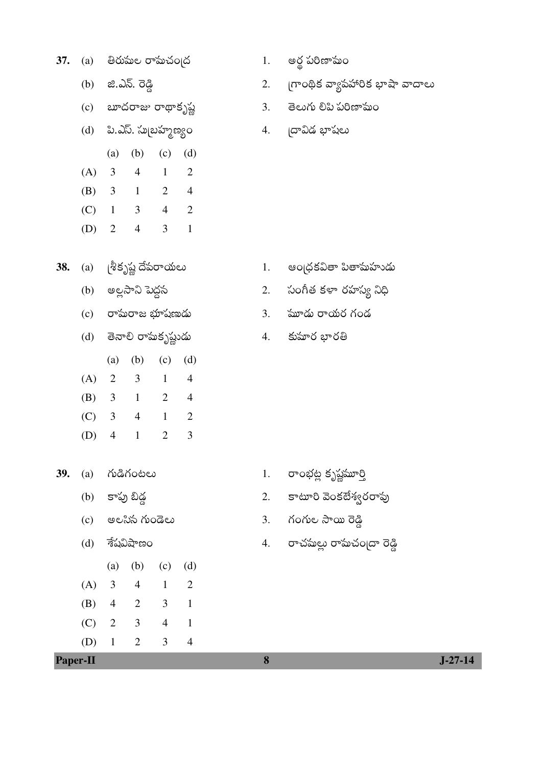| 37.<br>(a) |  |  | తిరుమల రామచం ద |  |
|------------|--|--|----------------|--|
|------------|--|--|----------------|--|

- $(b)$   $2.25.76$
- (c)  $w\in\mathbb{C}$ တာဆ တထုတ္ရွည္တဲ့
- (d) పి.ఎస్. సుబ్రహ్మణ్యం
- (b) (c) (d)  $(a)$  $(A) 3$  $\overline{4}$  $\mathbf{1}$  $\overline{2}$ (B)  $3 \t1 \t2 \t4$  $(C)$  1 3 4 2
- (D)  $2 \t 4$  $3 \quad 1$
- 38. (a)  $\int_0^5 s^{2/3}$  (శ్రీకృష్ణ దేపరాయలు
	- (b) అల్లసాని పెద్దన
	- (c) రామరాజ భూషణుడు
	- (d) తెనాలి రామకృష్ణుడు
	- $(c)$   $(d)$  $(b)$  $(a)$
	- $(A) 2$  $\overline{3}$  $\sim$  1  $\overline{4}$  $(B) 3 1$  $2 \quad 4$
	- $(C)$  3 4 1 2
	- $\overline{3}$ (D)  $4 \t1$  $\overline{2}$
- 39. (a) ಗುಡಿಗಂಟಲು
	- (b) కాపు బిడ్డ
	- $(c)$  అలనిన గుండెలు
	- $(d)$  శేషవిషాణం
	- $(a)$   $(b)$  $(c)$   $(d)$  $(A)$  $\overline{3}$  $4 \quad 1$

 $\overline{2}$ 

 $\overline{1}$ 

 $\overline{4}$ 

 $(B)$  4  $\overline{2}$  $\overline{3}$  1

 $3 \quad 4$ 

 $\mathfrak{Z}$ 

 $\overline{2}$ 

 $(D)$  1

Paper-II

 $(C)$  2

- అర్ధ పరిణామం  $1.$
- గ్రాంథిక వ్యాపహారిక భాషా వాదాలు
- 
- 2.
- 
- తెలుగు లిపి పరిణామం  $3.$
- 4. దావిడ భాషలు

ఆంద్రకవితా పితామహుడు 1.

 $3.$   $\omega$   $\omega$   $\omega$   $\omega$   $\omega$   $\omega$   $\omega$ 

4. కుమార భారతి

2.

సంగీత కళా రహస్య నిధి

- రాంభట్ల కృష్ణమూర్తి  $1.$
- కాటూరి వెంకటేశ్వరరావు 2.
- 3. గంగుల సాయి రెడ్డి

8

4. రాచమల్లు రామచం|దా రెడ్డి

 $J-27-14$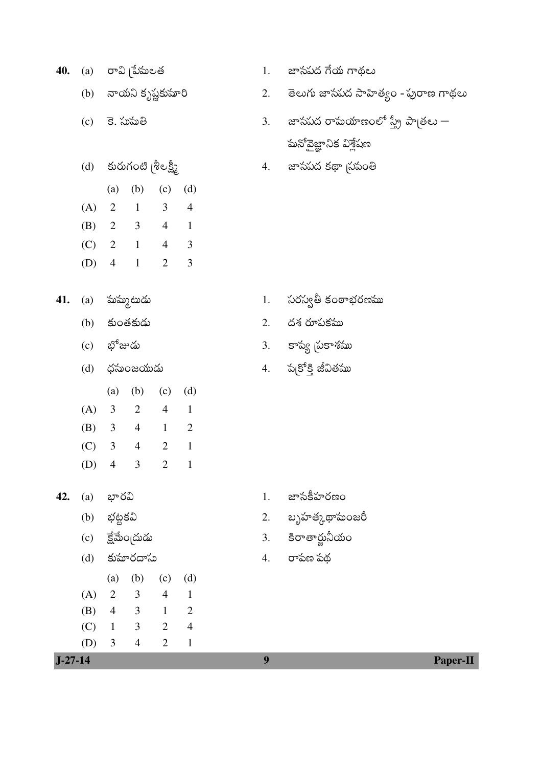| 40.           | (a) |                | రావి [పేషులత                |                |                         | 1.               | జాసపద గేయ గాథలు                                          |
|---------------|-----|----------------|-----------------------------|----------------|-------------------------|------------------|----------------------------------------------------------|
|               |     |                | (b) నాయని కృష్ణకుమారి       |                |                         | 2.               | తెలుగు జాసపద సాహిత్యం - పురాణ గాథలు                      |
|               | (c) |                | కె. సుమతి                   |                |                         | 3.               | జాసపద రామయాణంలో స్త్రీ పాౖతలు —<br>మనోవైజ్ఞానిక విశ్లేషణ |
|               | (d) |                | కురుగంటి [శీలక్ష్మీ         |                |                         |                  | 4. జాసపద కథా స్థాంతి                                     |
|               |     | (a)            | (b)                         | (c)            | (d)                     |                  |                                                          |
|               | (A) |                | $2 \t 1 \t 3 \t 4$          |                |                         |                  |                                                          |
|               | (B) |                | $2 \quad 3 \quad 4 \quad 1$ |                |                         |                  |                                                          |
|               |     |                | $(C)$ 2 1 4                 |                | $\overline{\mathbf{3}}$ |                  |                                                          |
|               | (D) | $\overline{4}$ | $\sim 1$                    | $\overline{2}$ | $\mathfrak{Z}$          |                  |                                                          |
| 41.           | (a) |                | పుమ్మటుడు                   |                |                         | 1.               | సరస్వతీ కంఠాభరణము                                        |
|               | (b) |                | కుంతకుడు                    |                |                         | 2.               | దశ రూపకము                                                |
|               |     | (c) భోజుడు     |                             |                |                         |                  | 3. కాప్య (పకాశము                                         |
|               | (d) |                | ధసుంజయుడు                   |                |                         |                  | 4. ప(కోక్తి జీవితము                                      |
|               |     |                | (a) (b) (c)                 |                | (d)                     |                  |                                                          |
|               | (A) |                | $3 \t 2 \t 4 \t 1$          |                |                         |                  |                                                          |
|               | (B) |                | $3 \t 4 \t 1 \t 2$          |                |                         |                  |                                                          |
|               | (C) |                | $3 \t 4 \t 2$               |                | $\overline{1}$          |                  |                                                          |
|               |     |                | (D) 4 3                     | 2              | $\blacksquare$          |                  |                                                          |
| 42.           | (a) | భారవి          |                             |                |                         | 1.               | జాసకీహరణం                                                |
|               | (b) | భట్టకవి        |                             |                |                         | 2.               | బృహత్కథాసుంజరీ                                           |
|               | (c) |                | ెక్షేమేంగ్రదుడు             |                |                         | 3.               | కిరాతార్జునీయం                                           |
|               | (d) |                | కుమారదాసు                   |                |                         | 4.               | రాపణ పథ                                                  |
|               |     | (a)            | (b)                         | (c)            | (d)                     |                  |                                                          |
|               | (A) | $\overline{2}$ | 3 <sup>7</sup>              | $\overline{4}$ | $\mathbf{1}$            |                  |                                                          |
|               | (B) | $\overline{4}$ | $\overline{\mathbf{3}}$     | $\mathbf{1}$   | $\overline{2}$          |                  |                                                          |
|               | (C) | $\mathbf{1}$   | $3\qquad 2$                 |                | $\overline{4}$          |                  |                                                          |
|               | (D) | 3              | $\overline{4}$              | $\overline{2}$ | $\mathbf{1}$            |                  |                                                          |
| $1 - 27 - 14$ |     |                |                             |                |                         | $\boldsymbol{9}$ | Paper-                                                   |

Paper-II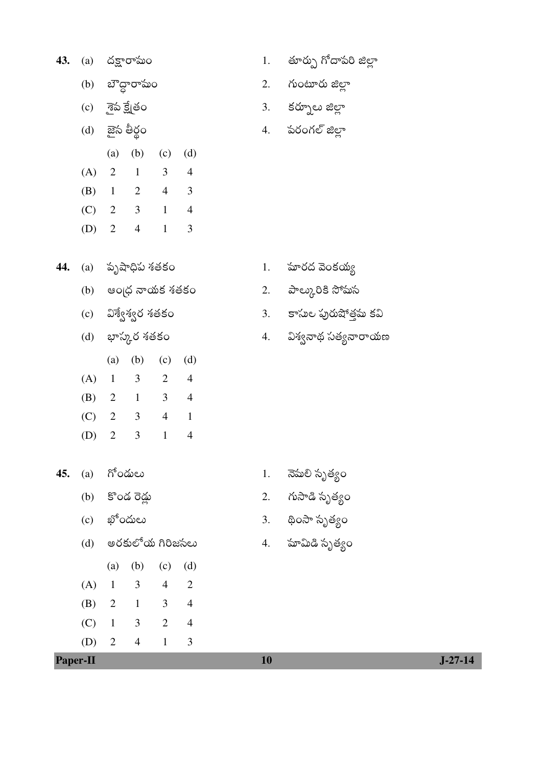| 43. | (a) | దక్షారామం |
|-----|-----|-----------|
|     |     |           |

- (b) బౌద్ధారామం
- (c) శైప క్ష్మేతం
- (d) జైన తీర్థం
- (a) (b) (c) (d)  $(A) 2$  $1$  $3 \quad 4$
- (B)  $1 \t2 \t4 \t3$
- $(C)$  2 3 1 4
- (D)  $2 \t 4$  $\overline{3}$  $\mathbf{1}$
- 44. (a) పృషాధిప<sup>్</sup>శతకం
	- (b) ఆంధ్ర నాయక శతకం
	- $(c)$  ವಿಸ್ದೇಸ್ದೇರ ಸೆತೆಕಂ
	- (d) భాస్కర శతకం
	- $(a)$   $(b)$  $(c)$   $(d)$
	- $2\quad 4$  $(A) 1$  $\overline{3}$ (B) 2 1 3 4 (C) 2 3 4 1
	- $(D)$  2  $3 \t1 \t4$
- **45.** (a) గోండులు

 $(A)$ 

Paper-II

 $\overline{1}$ 

 $(C)$  1

 $(D)$  2

 $(B)$  2 1

- (b) కొండ రెడ్లు
- (c)  $\mathfrak{P}^6$ ဝదులు
- (d) అరకులోయ గిరిజసలు

 $\overline{3}$ 

 $3<sup>1</sup>$ 

 $4\overline{ }$ 

 $(a)$   $(b)$  $(c)$   $(d)$ 

 $\overline{4}$ 

 $3 \quad 4$ 

 $2 \quad 4$ 

 $\mathbf{1}$ 

 $\overline{2}$ 

 $\mathfrak{Z}$ 

2. గుంటూరు జిల్లా

తూర్పు గోదాపరి జిల్లా

కర్నూలు జిల్లా  $3.$ 

 $1.$ 

పరంగల్ జిల్లా 4.

- మారద వెంకయ్య 1.
- పాల్కురికి సోమస 2.
- 3. కాసుల పురుషోత్తమ కవి
- 4. విశ్వనాథ సత్యనారాయణ

- నెమలి సృత్యం  $1.$
- గుసాడి సృత్యం 2.
- 3. థింసా సృత్యం
- 4. మామిడి సృత్యం

10

 $J-27-14$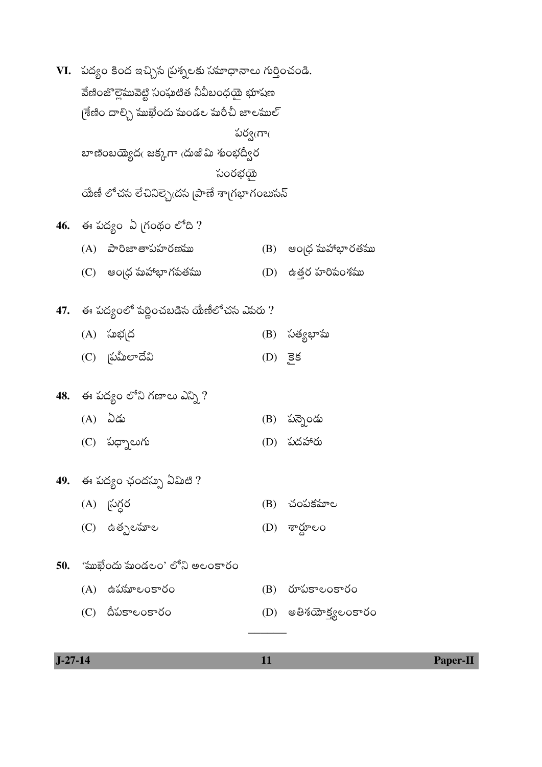| VI. - పద్యం కింద ఇచ్చిన [పశ్నలకు సమాధానాలు గుర్తించండి. |                                               |          |                       |  |  |  |  |  |  |
|---------------------------------------------------------|-----------------------------------------------|----------|-----------------------|--|--|--|--|--|--|
| వేణింజొల్లెమువెట్టి సంఘటిత నీవీబంధయై భూషణ               |                                               |          |                       |  |  |  |  |  |  |
|                                                         | గ్రేణిం దాల్సి సుుఖేందు సుండల సురీచీ జాలసుుల్ |          |                       |  |  |  |  |  |  |
|                                                         |                                               | పర్వఁగాఁ |                       |  |  |  |  |  |  |
|                                                         | బాణింబయ్యెదఁ జక్కగా ఁదుఱి మి శుంభద్వీర        |          |                       |  |  |  |  |  |  |
|                                                         | సంరభయ్                                        |          |                       |  |  |  |  |  |  |
|                                                         | యేణీ లోచన లేచినిల్స్రెడన [పాణే శా[గభాగంబుసన్  |          |                       |  |  |  |  |  |  |
|                                                         | 46. ఈ పద్యం ఏ గ్రంథం లోది ?                   |          |                       |  |  |  |  |  |  |
|                                                         | (A) పారిజాతాపహరణము                            |          | (B) ఆంధ్ర మహాభారతము   |  |  |  |  |  |  |
|                                                         | (C) ఆంద్ర మహాభాగపతము                          |          | (D) ఉత్తర హరిపంశము    |  |  |  |  |  |  |
|                                                         | 47. ఈ పద్యంలో పర్ణించబడిస యేణీలోచస ఎపరు ?     |          |                       |  |  |  |  |  |  |
|                                                         | (A) సుభ[ద                                     |          | (B) సత్యభామ           |  |  |  |  |  |  |
|                                                         | (C) (పమీలాదేవి                                | (D) 58   |                       |  |  |  |  |  |  |
|                                                         | 48. ఈ పద్యం లోని గణాలు ఎన్ని ?                |          |                       |  |  |  |  |  |  |
|                                                         | (A) ఏడు                                       |          | (B) పన్నెండు          |  |  |  |  |  |  |
|                                                         | $(C)$ သတ္ျပာက                                 |          | (D) పదహారు            |  |  |  |  |  |  |
|                                                         | 49. – ఈ పద్యం ఛందస్సు ఏమిటి ?                 |          |                       |  |  |  |  |  |  |
|                                                         | (A) స్టర్గర                                   |          | (B) చంపకమాల           |  |  |  |  |  |  |
|                                                         | (C) ఉత్పలమాల                                  |          | $(D)$ శార్ధూలం        |  |  |  |  |  |  |
|                                                         | 50. ''ముఖేందు 'మండలం' లోని అలంకారం            |          |                       |  |  |  |  |  |  |
|                                                         | $(A)$ ఉపమాలంకారం                              |          | (B) రూపకాలంకారం       |  |  |  |  |  |  |
|                                                         | (C) దీపకాలంకారం                               |          | (D) అతిశయోక్త్యలంకారం |  |  |  |  |  |  |
|                                                         |                                               |          |                       |  |  |  |  |  |  |

| $J-7$<br>. . | __ | . |
|--------------|----|---|